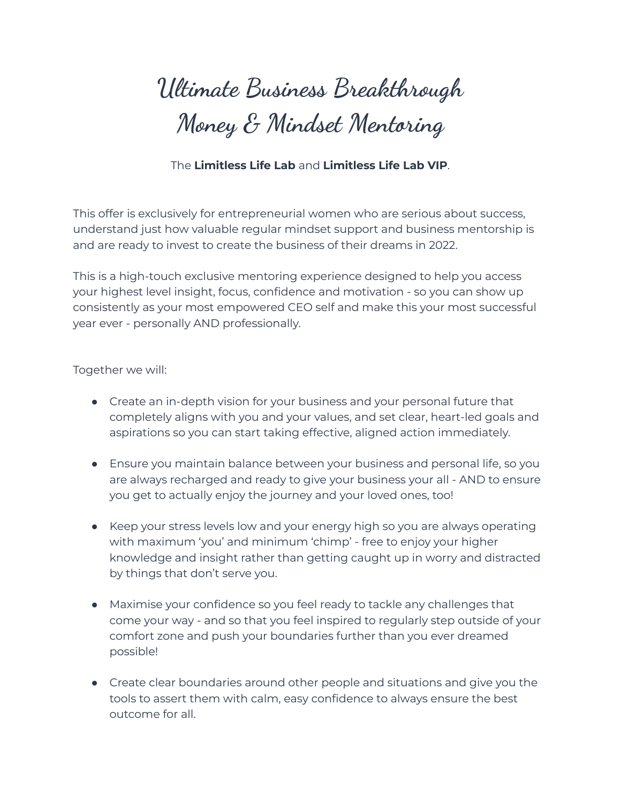# **Ultimate Business Breakthrough Money & Mindset Mentoring**

# The **Limitless Life Lab** and **Limitless Life Lab VIP**.

This offer is exclusively for entrepreneurial women who are serious about success, understand just how valuable regular mindset support and business mentorship is and are ready to invest to create the business of their dreams in 2022.

This is a high-touch exclusive mentoring experience designed to help you access your highest level insight, focus, confidence and motivation - so you can show up consistently as your most empowered CEO self and make this your most successful year ever - personally AND professionally.

Together we will:

- Create an in-depth vision for your business and your personal future that completely aligns with you and your values, and set clear, heart-led goals and aspirations so you can start taking effective, aligned action immediately.
- Ensure you maintain balance between your business and personal life, so you are always recharged and ready to give your business your all - AND to ensure you get to actually enjoy the journey and your loved ones, too!
- Keep your stress levels low and your energy high so you are always operating with maximum 'you' and minimum 'chimp' - free to enjoy your higher knowledge and insight rather than getting caught up in worry and distracted by things that don't serve you.
- Maximise your confidence so you feel ready to tackle any challenges that come your way - and so that you feel inspired to regularly step outside of your comfort zone and push your boundaries further than you ever dreamed possible!
- Create clear boundaries around other people and situations and give you the tools to assert them with calm, easy confidence to always ensure the best outcome for all.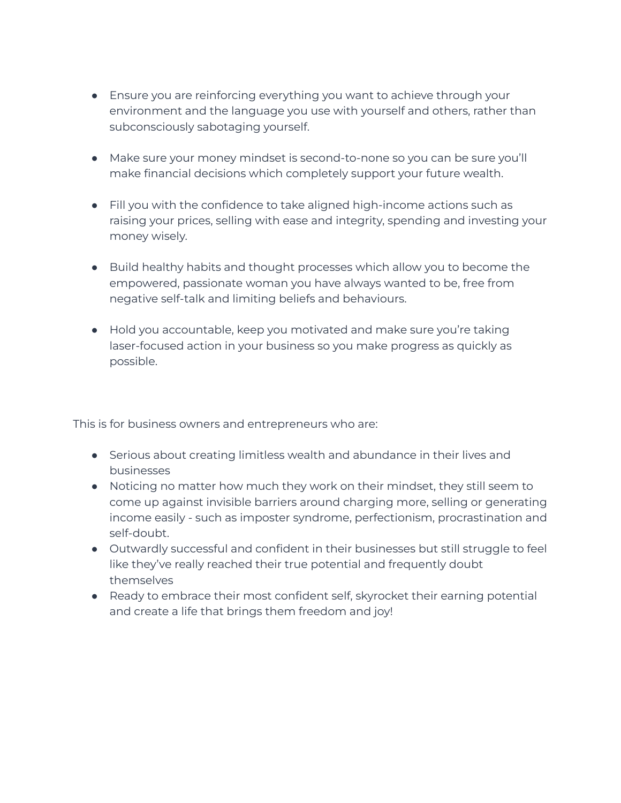- Ensure you are reinforcing everything you want to achieve through your environment and the language you use with yourself and others, rather than subconsciously sabotaging yourself.
- Make sure your money mindset is second-to-none so you can be sure you'll make financial decisions which completely support your future wealth.
- Fill you with the confidence to take aligned high-income actions such as raising your prices, selling with ease and integrity, spending and investing your money wisely.
- Build healthy habits and thought processes which allow you to become the empowered, passionate woman you have always wanted to be, free from negative self-talk and limiting beliefs and behaviours.
- Hold you accountable, keep you motivated and make sure you're taking laser-focused action in your business so you make progress as quickly as possible.

This is for business owners and entrepreneurs who are:

- Serious about creating limitless wealth and abundance in their lives and businesses
- Noticing no matter how much they work on their mindset, they still seem to come up against invisible barriers around charging more, selling or generating income easily - such as imposter syndrome, perfectionism, procrastination and self-doubt.
- Outwardly successful and confident in their businesses but still struggle to feel like they've really reached their true potential and frequently doubt themselves
- Ready to embrace their most confident self, skyrocket their earning potential and create a life that brings them freedom and joy!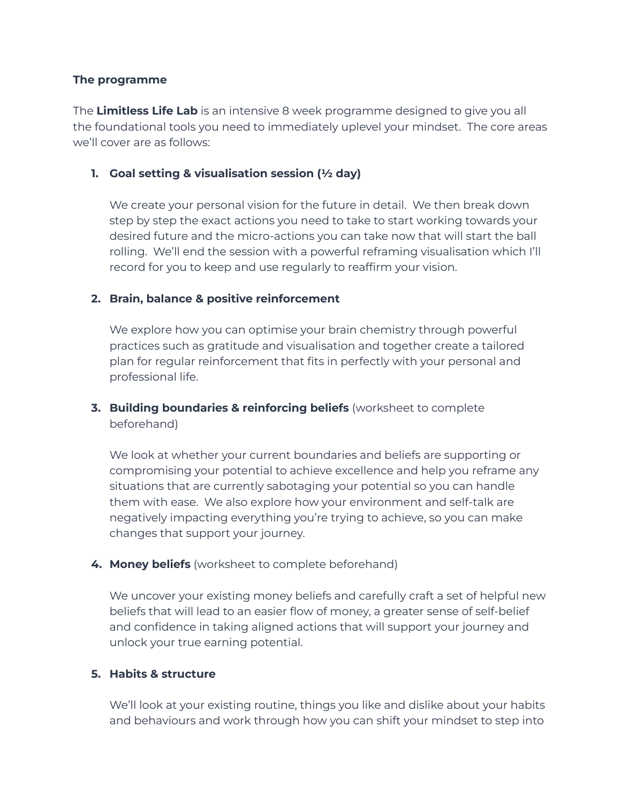### **The programme**

The **Limitless Life Lab** is an intensive 8 week programme designed to give you all the foundational tools you need to immediately uplevel your mindset. The core areas we'll cover are as follows:

### **1. Goal setting & visualisation session (½ day)**

We create your personal vision for the future in detail. We then break down step by step the exact actions you need to take to start working towards your desired future and the micro-actions you can take now that will start the ball rolling. We'll end the session with a powerful reframing visualisation which I'll record for you to keep and use regularly to reaffirm your vision.

# **2. Brain, balance & positive reinforcement**

We explore how you can optimise your brain chemistry through powerful practices such as gratitude and visualisation and together create a tailored plan for regular reinforcement that fits in perfectly with your personal and professional life.

**3. Building boundaries & reinforcing beliefs** (worksheet to complete beforehand)

We look at whether your current boundaries and beliefs are supporting or compromising your potential to achieve excellence and help you reframe any situations that are currently sabotaging your potential so you can handle them with ease. We also explore how your environment and self-talk are negatively impacting everything you're trying to achieve, so you can make changes that support your journey.

#### **4. Money beliefs** (worksheet to complete beforehand)

We uncover your existing money beliefs and carefully craft a set of helpful new beliefs that will lead to an easier flow of money, a greater sense of self-belief and confidence in taking aligned actions that will support your journey and unlock your true earning potential.

#### **5. Habits & structure**

We'll look at your existing routine, things you like and dislike about your habits and behaviours and work through how you can shift your mindset to step into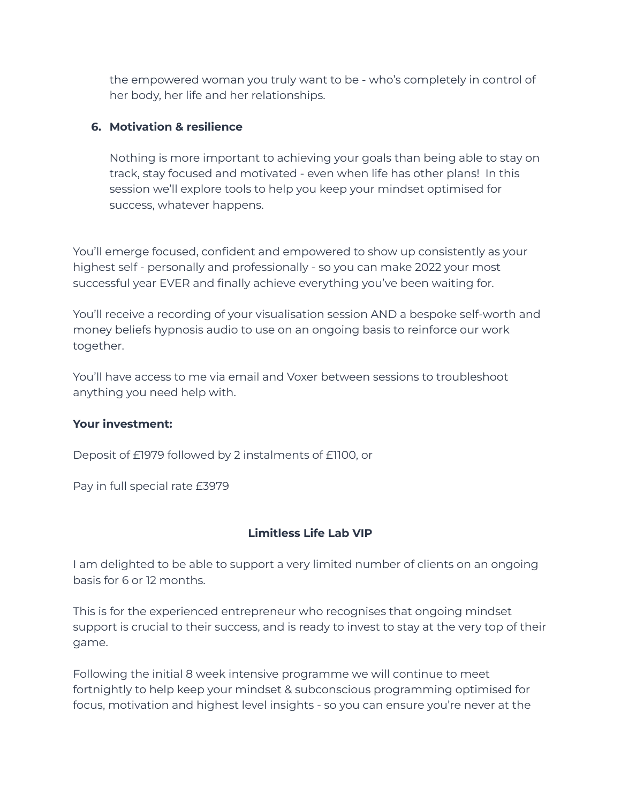the empowered woman you truly want to be - who's completely in control of her body, her life and her relationships.

# **6. Motivation & resilience**

Nothing is more important to achieving your goals than being able to stay on track, stay focused and motivated - even when life has other plans! In this session we'll explore tools to help you keep your mindset optimised for success, whatever happens.

You'll emerge focused, confident and empowered to show up consistently as your highest self - personally and professionally - so you can make 2022 your most successful year EVER and finally achieve everything you've been waiting for.

You'll receive a recording of your visualisation session AND a bespoke self-worth and money beliefs hypnosis audio to use on an ongoing basis to reinforce our work together.

You'll have access to me via email and Voxer between sessions to troubleshoot anything you need help with.

# **Your investment:**

Deposit of £1979 followed by 2 instalments of £1100, or

Pay in full special rate £3979

# **Limitless Life Lab VIP**

I am delighted to be able to support a very limited number of clients on an ongoing basis for 6 or 12 months.

This is for the experienced entrepreneur who recognises that ongoing mindset support is crucial to their success, and is ready to invest to stay at the very top of their game.

Following the initial 8 week intensive programme we will continue to meet fortnightly to help keep your mindset & subconscious programming optimised for focus, motivation and highest level insights - so you can ensure you're never at the